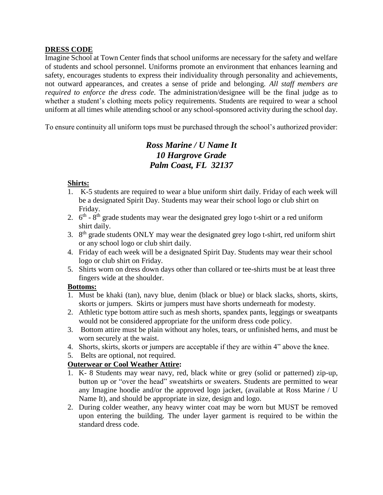## **DRESS CODE**

Imagine School at Town Center finds that school uniforms are necessary for the safety and welfare of students and school personnel. Uniforms promote an environment that enhances learning and safety, encourages students to express their individuality through personality and achievements, not outward appearances, and creates a sense of pride and belonging. *All staff members are required to enforce the dress code*. The administration/designee will be the final judge as to whether a student's clothing meets policy requirements. Students are required to wear a school uniform at all times while attending school or any school-sponsored activity during the school day.

To ensure continuity all uniform tops must be purchased through the school's authorized provider:

# *Ross Marine / U Name It 10 Hargrove Grade Palm Coast, FL 32137*

## **Shirts:**

- 1. K-5 students are required to wear a blue uniform shirt daily. Friday of each week will be a designated Spirit Day. Students may wear their school logo or club shirt on Friday.
- 2.  $6<sup>th</sup>$   $8<sup>th</sup>$  grade students may wear the designated grey logo t-shirt or a red uniform shirt daily.
- 3.  $8<sup>th</sup>$  grade students ONLY may wear the designated grey logo t-shirt, red uniform shirt or any school logo or club shirt daily.
- 4. Friday of each week will be a designated Spirit Day. Students may wear their school logo or club shirt on Friday.
- 5. Shirts worn on dress down days other than collared or tee-shirts must be at least three fingers wide at the shoulder.

## **Bottoms:**

- 1. Must be khaki (tan), navy blue, denim (black or blue) or black slacks, shorts, skirts, skorts or jumpers. Skirts or jumpers must have shorts underneath for modesty.
- 2. Athletic type bottom attire such as mesh shorts, spandex pants, leggings or sweatpants would not be considered appropriate for the uniform dress code policy.
- 3. Bottom attire must be plain without any holes, tears, or unfinished hems, and must be worn securely at the waist.
- 4. Shorts, skirts, skorts or jumpers are acceptable if they are within 4" above the knee.
- 5. Belts are optional, not required.

## **Outerwear or Cool Weather Attire:**

- 1. K- 8 Students may wear navy, red, black white or grey (solid or patterned) zip-up, button up or "over the head" sweatshirts or sweaters. Students are permitted to wear any Imagine hoodie and/or the approved logo jacket, (available at Ross Marine / U Name It), and should be appropriate in size, design and logo.
- 2. During colder weather, any heavy winter coat may be worn but MUST be removed upon entering the building. The under layer garment is required to be within the standard dress code.